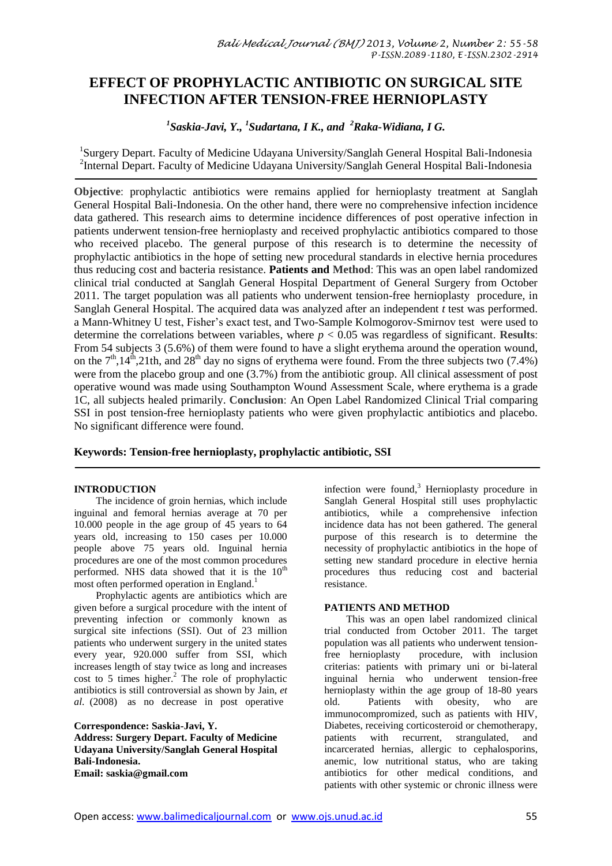# **EFFECT OF PROPHYLACTIC ANTIBIOTIC ON SURGICAL SITE INFECTION AFTER TENSION-FREE HERNIOPLASTY**

*1 Saskia-Javi, Y., <sup>1</sup> Sudartana, I K., and <sup>2</sup>Raka-Widiana, I G.*

<sup>1</sup>Surgery Depart. Faculty of Medicine Udayana University/Sanglah General Hospital Bali-Indonesia  $^2$ Internal Depart. Faculty of Medicine Udayana University/Sanglah General Hospital Bali-Indonesia

**Objective**: prophylactic antibiotics were remains applied for hernioplasty treatment at Sanglah General Hospital Bali-Indonesia. On the other hand, there were no comprehensive infection incidence data gathered. This research aims to determine incidence differences of post operative infection in patients underwent tension-free hernioplasty and received prophylactic antibiotics compared to those who received placebo. The general purpose of this research is to determine the necessity of prophylactic antibiotics in the hope of setting new procedural standards in elective hernia procedures thus reducing cost and bacteria resistance. **Patients and Method**: This was an open label randomized clinical trial conducted at Sanglah General Hospital Department of General Surgery from October 2011. The target population was all patients who underwent tension-free hernioplasty procedure, in Sanglah General Hospital. The acquired data was analyzed after an independent *t* test was performed. a Mann-Whitney U test, Fisher's exact test, and Two-Sample Kolmogorov-Smirnov test were used to determine the correlations between variables, where  $p < 0.05$  was regardless of significant. **Results**: From 54 subjects 3 (5.6%) of them were found to have a slight erythema around the operation wound, on the  $7<sup>th</sup>$ ,14<sup>th</sup>,21th, and 28<sup>th</sup> day no signs of erythema were found. From the three subjects two (7.4%) were from the placebo group and one (3.7%) from the antibiotic group. All clinical assessment of post operative wound was made using Southampton Wound Assessment Scale, where erythema is a grade 1C, all subjects healed primarily. **Conclusion**: An Open Label Randomized Clinical Trial comparing SSI in post tension-free hernioplasty patients who were given prophylactic antibiotics and placebo. No significant difference were found.

**Keywords: Tension-free hernioplasty, prophylactic antibiotic, SSI**

## **INTRODUCTION**

The incidence of groin hernias, which include inguinal and femoral hernias average at 70 per 10.000 people in the age group of 45 years to 64 years old, increasing to 150 cases per 10.000 people above 75 years old. Inguinal hernia procedures are one of the most common procedures performed. NHS data showed that it is the  $10<sup>th</sup>$ most often performed operation in England.<sup>1</sup>

Prophylactic agents are antibiotics which are given before a surgical procedure with the intent of preventing infection or commonly known as surgical site infections (SSI). Out of 23 million patients who underwent surgery in the united states every year, 920.000 suffer from SSI, which increases length of stay twice as long and increases cost to 5 times higher. <sup>2</sup> The role of prophylactic antibiotics is still controversial as shown by Jain, *et al*. (2008) as no decrease in post operative

**Correspondence: Saskia-Javi, Y. Address: Surgery Depart. Faculty of Medicine Udayana University/Sanglah General Hospital Bali-Indonesia. Email: [saskia@gmail.com](mailto:saskia@gmail.com)**

infection were found,<sup>3</sup> Hernioplasty procedure in Sanglah General Hospital still uses prophylactic antibiotics, while a comprehensive infection incidence data has not been gathered. The general purpose of this research is to determine the necessity of prophylactic antibiotics in the hope of setting new standard procedure in elective hernia procedures thus reducing cost and bacterial resistance.

## **PATIENTS AND METHOD**

This was an open label randomized clinical trial conducted from October 2011. The target population was all patients who underwent tensionfree hernioplasty procedure, with inclusion criterias: patients with primary uni or bi-lateral inguinal hernia who underwent tension-free hernioplasty within the age group of 18-80 years old. Patients with obesity, who are immunocompromized, such as patients with HIV, Diabetes, receiving corticosteroid or chemotherapy, patients with recurrent, strangulated, and incarcerated hernias, allergic to cephalosporins, anemic, low nutritional status, who are taking antibiotics for other medical conditions, and patients with other systemic or chronic illness were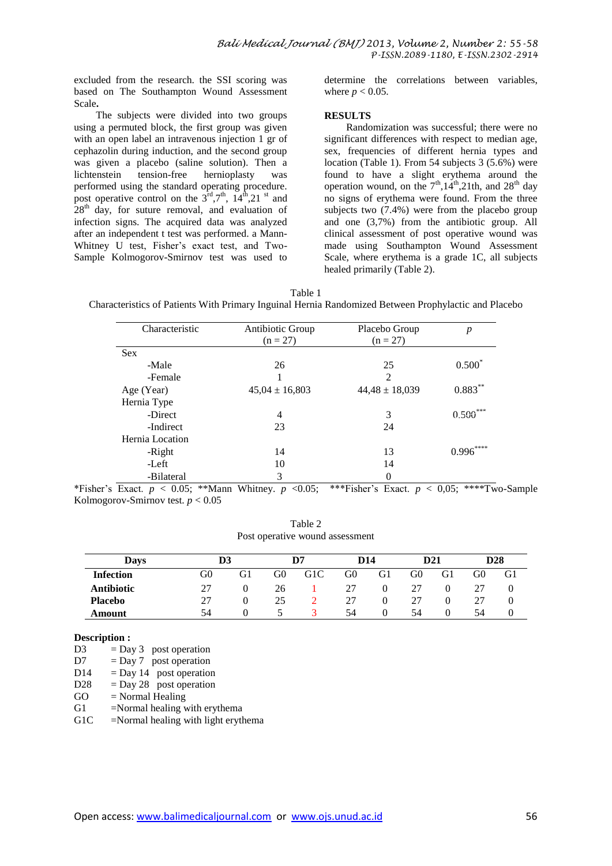excluded from the research. the SSI scoring was based on The Southampton Wound Assessment Scale**.** 

The subjects were divided into two groups using a permuted block, the first group was given with an open label an intravenous injection 1 gr of cephazolin during induction, and the second group was given a placebo (saline solution). Then a lichtenstein tension-free hernioplasty was hernioplasty was performed using the standard operating procedure. post operative control on the  $3<sup>rd</sup>, 7<sup>th</sup>, 14<sup>th</sup>, 21<sup>st</sup>$  and  $28<sup>th</sup>$  day, for suture removal, and evaluation of infection signs. The acquired data was analyzed after an independent t test was performed. a Mann-Whitney U test, Fisher's exact test, and Two-Sample Kolmogorov-Smirnov test was used to

determine the correlations between variables, where  $p < 0.05$ .

#### **RESULTS**

Randomization was successful; there were no significant differences with respect to median age, sex, frequencies of different hernia types and location (Table 1). From 54 subjects 3 (5.6%) were found to have a slight erythema around the operation wound, on the  $7<sup>th</sup>,14<sup>th</sup>,21th$ , and  $28<sup>th</sup>$  day no signs of erythema were found. From the three subjects two (7.4%) were from the placebo group and one (3,7%) from the antibiotic group. All clinical assessment of post operative wound was made using Southampton Wound Assessment Scale, where erythema is a grade 1C, all subjects healed primarily (Table 2).

Table 1

Characteristics of Patients With Primary Inguinal Hernia Randomized Between Prophylactic and Placebo

| Characteristic  | Antibiotic Group<br>$(n = 27)$ | Placebo Group<br>$(n = 27)$ | $\boldsymbol{p}$ |  |
|-----------------|--------------------------------|-----------------------------|------------------|--|
| <b>Sex</b>      |                                |                             |                  |  |
| -Male           | 26                             | 25                          | $0.500*$         |  |
| -Female         |                                | $\overline{2}$              |                  |  |
| Age (Year)      | $45,04 \pm 16,803$             | $44,48 \pm 18,039$          | $0.883***$       |  |
| Hernia Type     |                                |                             |                  |  |
| -Direct         | $\overline{4}$                 | 3                           | $0.500***$       |  |
| -Indirect       | 23                             | 24                          |                  |  |
| Hernia Location |                                |                             |                  |  |
| -Right          | 14                             | 13                          | ****<br>0.996    |  |
| -Left           | 10                             | 14                          |                  |  |
| -Bilateral      | 3                              | $\theta$                    |                  |  |

\*Fisher's Exact. *p* < 0.05; \*\*Mann Whitney. *p* <0.05; \*\*\*Fisher's Exact. *p* < 0,05; \*\*\*\*Two-Sample Kolmogorov-Smirnov test. *p* < 0.05

| Table 2                         |  |  |  |  |  |  |  |  |  |
|---------------------------------|--|--|--|--|--|--|--|--|--|
| Post operative wound assessment |  |  |  |  |  |  |  |  |  |

| Davs              | D3 |    |    | D7  | D <sub>14</sub> |    |    | D21 |    | D <sub>28</sub> |
|-------------------|----|----|----|-----|-----------------|----|----|-----|----|-----------------|
| <b>Infection</b>  | G0 | G1 | G0 | G1C | G0              | G1 | G0 | G1  | G0 | G1              |
| <b>Antibiotic</b> | 27 |    | 26 |     | 27              |    | 27 |     |    |                 |
| <b>Placebo</b>    | 27 |    | 25 |     | 27              |    | 27 |     |    |                 |
| Amount            | 54 |    |    |     | 54              |    | 54 |     | 54 |                 |

#### **Description :**

D3  $=$  Day 3 post operation  $D7 = Dav 7$  post operation

 $D14$  = Day 14 post operation

 $D28 = Day 28$  post operation

 $GO = Normal \text{Healing}$ 

 $G1$  =Normal healing with erythema

G1C =Normal healing with light erythema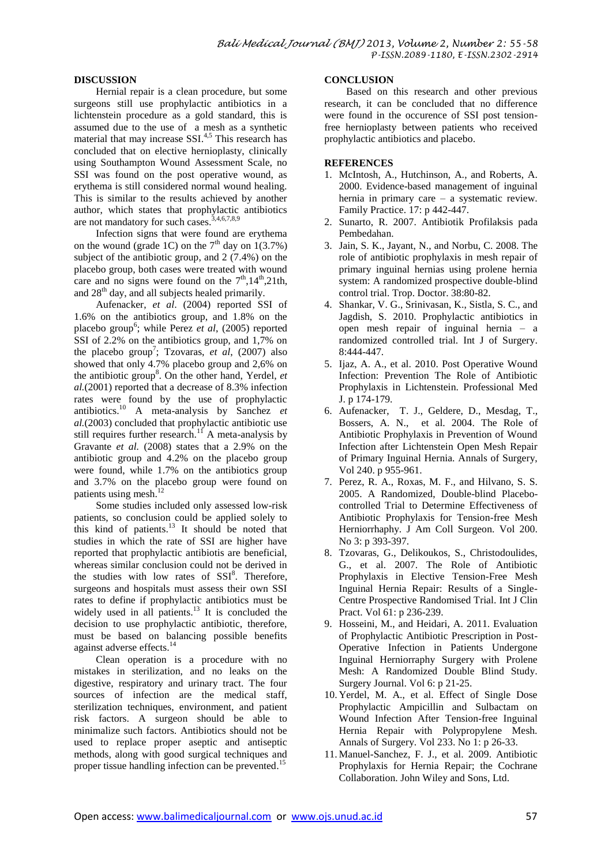## **DISCUSSION**

Hernial repair is a clean procedure, but some surgeons still use prophylactic antibiotics in a lichtenstein procedure as a gold standard, this is assumed due to the use of a mesh as a synthetic material that may increase SSI.<sup>4,5</sup> This research has concluded that on elective hernioplasty, clinically using Southampton Wound Assessment Scale, no SSI was found on the post operative wound, as erythema is still considered normal wound healing. This is similar to the results achieved by another author, which states that prophylactic antibiotics are not mandatory for such cases. 3,4,6,7,8,9

Infection signs that were found are erythema on the wound (grade 1C) on the  $7<sup>th</sup>$  day on  $1(3.7%)$ subject of the antibiotic group, and 2 (7.4%) on the placebo group, both cases were treated with wound care and no signs were found on the  $7<sup>th</sup>$ ,14<sup>th</sup>,21th, and  $28<sup>th</sup>$  day, and all subjects healed primarily.

Aufenacker, *et al*. (2004) reported SSI of 1.6% on the antibiotics group, and 1.8% on the placebo group<sup>6</sup>; while Perez et al, (2005) reported SSI of 2.2% on the antibiotics group, and 1,7% on the placebo group<sup>7</sup>; Tzovaras, *et al*, (2007) also showed that only 4.7% placebo group and 2,6% on the antibiotic group<sup>8</sup>. On the other hand, Yerdel, et *al.*(2001) reported that a decrease of 8.3% infection rates were found by the use of prophylactic antibiotics. <sup>10</sup> A meta-analysis by Sanchez *et al.*(2003) concluded that prophylactic antibiotic use still requires further research.<sup>11</sup> A meta-analysis by Gravante *et al.* (2008) states that a 2.9% on the antibiotic group and 4.2% on the placebo group were found, while 1.7% on the antibiotics group and 3.7% on the placebo group were found on patients using mesh.<sup>12</sup>

Some studies included only assessed low-risk patients, so conclusion could be applied solely to this kind of patients.<sup>13</sup> It should be noted that studies in which the rate of SSI are higher have reported that prophylactic antibiotis are beneficial, whereas similar conclusion could not be derived in the studies with low rates of  $SSI^8$ . Therefore, surgeons and hospitals must assess their own SSI rates to define if prophylactic antibiotics must be widely used in all patients.<sup>13</sup> It is concluded the decision to use prophylactic antibiotic, therefore, must be based on balancing possible benefits against adverse effects.<sup>14</sup>

Clean operation is a procedure with no mistakes in sterilization, and no leaks on the digestive, respiratory and urinary tract. The four sources of infection are the medical staff, sterilization techniques, environment, and patient risk factors. A surgeon should be able to minimalize such factors. Antibiotics should not be used to replace proper aseptic and antiseptic methods, along with good surgical techniques and proper tissue handling infection can be prevented.<sup>15</sup>

#### **CONCLUSION**

Based on this research and other previous research, it can be concluded that no difference were found in the occurence of SSI post tensionfree hernioplasty between patients who received prophylactic antibiotics and placebo.

## **REFERENCES**

- 1. McIntosh, A., Hutchinson, A., and Roberts, A. 2000. Evidence-based management of inguinal hernia in primary care – a systematic review. Family Practice. 17: p 442-447.
- 2. Sunarto, R. 2007. Antibiotik Profilaksis pada Pembedahan.
- 3. Jain, S. K., Jayant, N., and Norbu, C. 2008. The role of antibiotic prophylaxis in mesh repair of primary inguinal hernias using prolene hernia system: A randomized prospective double-blind control trial. Trop. Doctor. 38:80-82.
- 4. Shankar, V. G., Srinivasan, K., Sistla, S. C., and Jagdish, S. 2010. Prophylactic antibiotics in open mesh repair of inguinal hernia – a randomized controlled trial. Int J of Surgery. 8:444-447.
- 5. Ijaz, A. A., et al. 2010. Post Operative Wound Infection: Prevention The Role of Antibiotic Prophylaxis in Lichtenstein. Professional Med J. p 174-179.
- 6. Aufenacker, T. J., Geldere, D., Mesdag, T., Bossers, A. N., et al. 2004. The Role of Antibiotic Prophylaxis in Prevention of Wound Infection after Lichtenstein Open Mesh Repair of Primary Inguinal Hernia. Annals of Surgery, Vol 240. p 955-961.
- 7. Perez, R. A., Roxas, M. F., and Hilvano, S. S. 2005. A Randomized, Double-blind Placebocontrolled Trial to Determine Effectiveness of Antibiotic Prophylaxis for Tension-free Mesh Herniorrhaphy. J Am Coll Surgeon. Vol 200. No 3: p 393-397.
- 8. Tzovaras, G., Delikoukos, S., Christodoulides, G., et al. 2007. The Role of Antibiotic Prophylaxis in Elective Tension-Free Mesh Inguinal Hernia Repair: Results of a Single-Centre Prospective Randomised Trial. Int J Clin Pract. Vol 61: p 236-239.
- 9. Hosseini, M., and Heidari, A. 2011. Evaluation of Prophylactic Antibiotic Prescription in Post-Operative Infection in Patients Undergone Inguinal Herniorraphy Surgery with Prolene Mesh: A Randomized Double Blind Study. Surgery Journal. Vol 6: p 21-25.
- 10. Yerdel, M. A., et al. Effect of Single Dose Prophylactic Ampicillin and Sulbactam on Wound Infection After Tension-free Inguinal Hernia Repair with Polypropylene Mesh. Annals of Surgery. Vol 233. No 1: p 26-33.
- 11. Manuel-Sanchez, F. J., et al. 2009. Antibiotic Prophylaxis for Hernia Repair; the Cochrane Collaboration. John Wiley and Sons, Ltd.